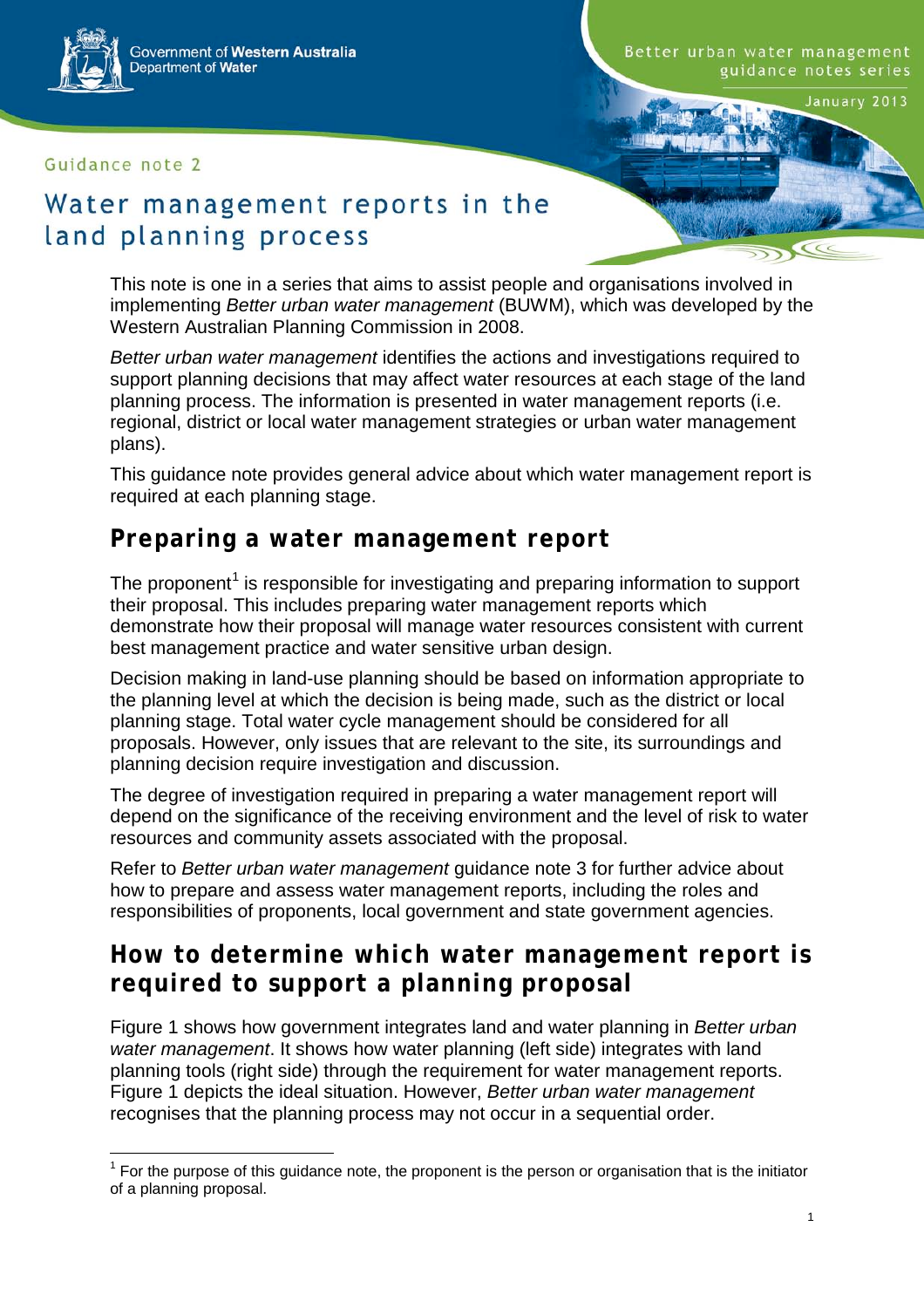Government of Western Australia Department of Water

Guidance note 2

Better urban water management guidance notes series

January 2013

#### Water management reports in the land planning process

This note is one in a series that aims to assist people and organisations involved in implementing *Better urban water management* (BUWM), which was developed by the Western Australian Planning Commission in 2008.

*Better urban water management* identifies the actions and investigations required to support planning decisions that may affect water resources at each stage of the land planning process. The information is presented in water management reports (i.e. regional, district or local water management strategies or urban water management plans).

This guidance note provides general advice about which water management report is required at each planning stage.

#### **Preparing a water management report**

The proponent<sup>[1](#page-0-0)</sup> is responsible for investigating and preparing information to support their proposal. This includes preparing water management reports which demonstrate how their proposal will manage water resources consistent with current best management practice and water sensitive urban design.

Decision making in land-use planning should be based on information appropriate to the planning level at which the decision is being made, such as the district or local planning stage. Total water cycle management should be considered for all proposals. However, only issues that are relevant to the site, its surroundings and planning decision require investigation and discussion.

The degree of investigation required in preparing a water management report will depend on the significance of the receiving environment and the level of risk to water resources and community assets associated with the proposal.

Refer to *Better urban water management* guidance note 3 for further advice about how to prepare and assess water management reports, including the roles and responsibilities of proponents, local government and state government agencies.

#### **How to determine which water management report is required to support a planning proposal**

Figure 1 shows how government integrates land and water planning in *Better urban water management*. It shows how water planning (left side) integrates with land planning tools (right side) through the requirement for water management reports. Figure 1 depicts the ideal situation. However, *Better urban water management* recognises that the planning process may not occur in a sequential order.

<span id="page-0-0"></span> $1$  For the purpose of this guidance note, the proponent is the person or organisation that is the initiator of a planning proposal.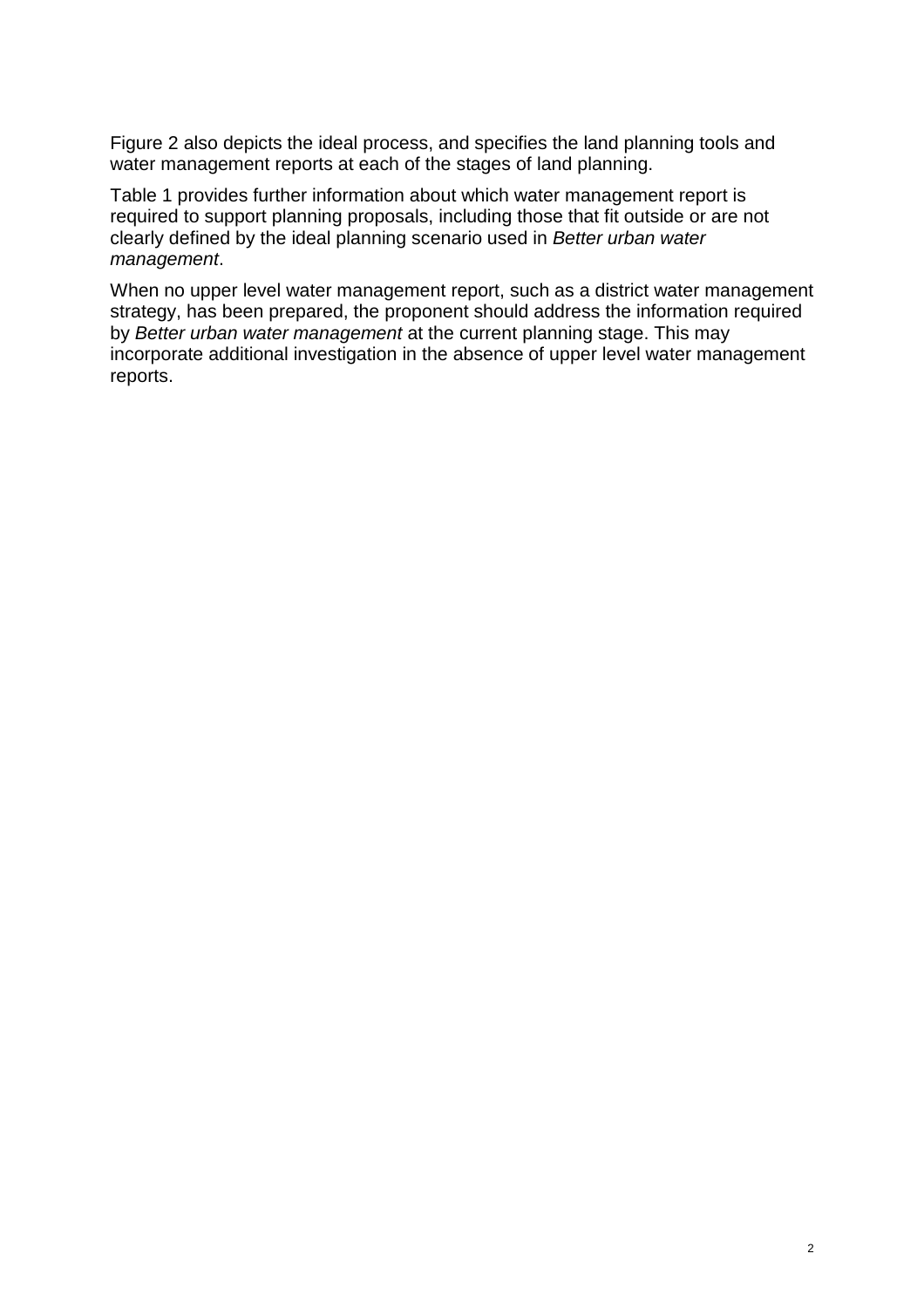Figure 2 also depicts the ideal process, and specifies the land planning tools and water management reports at each of the stages of land planning.

Table 1 provides further information about which water management report is required to support planning proposals, including those that fit outside or are not clearly defined by the ideal planning scenario used in *Better urban water management*.

When no upper level water management report, such as a district water management strategy, has been prepared, the proponent should address the information required by *Better urban water management* at the current planning stage. This may incorporate additional investigation in the absence of upper level water management reports.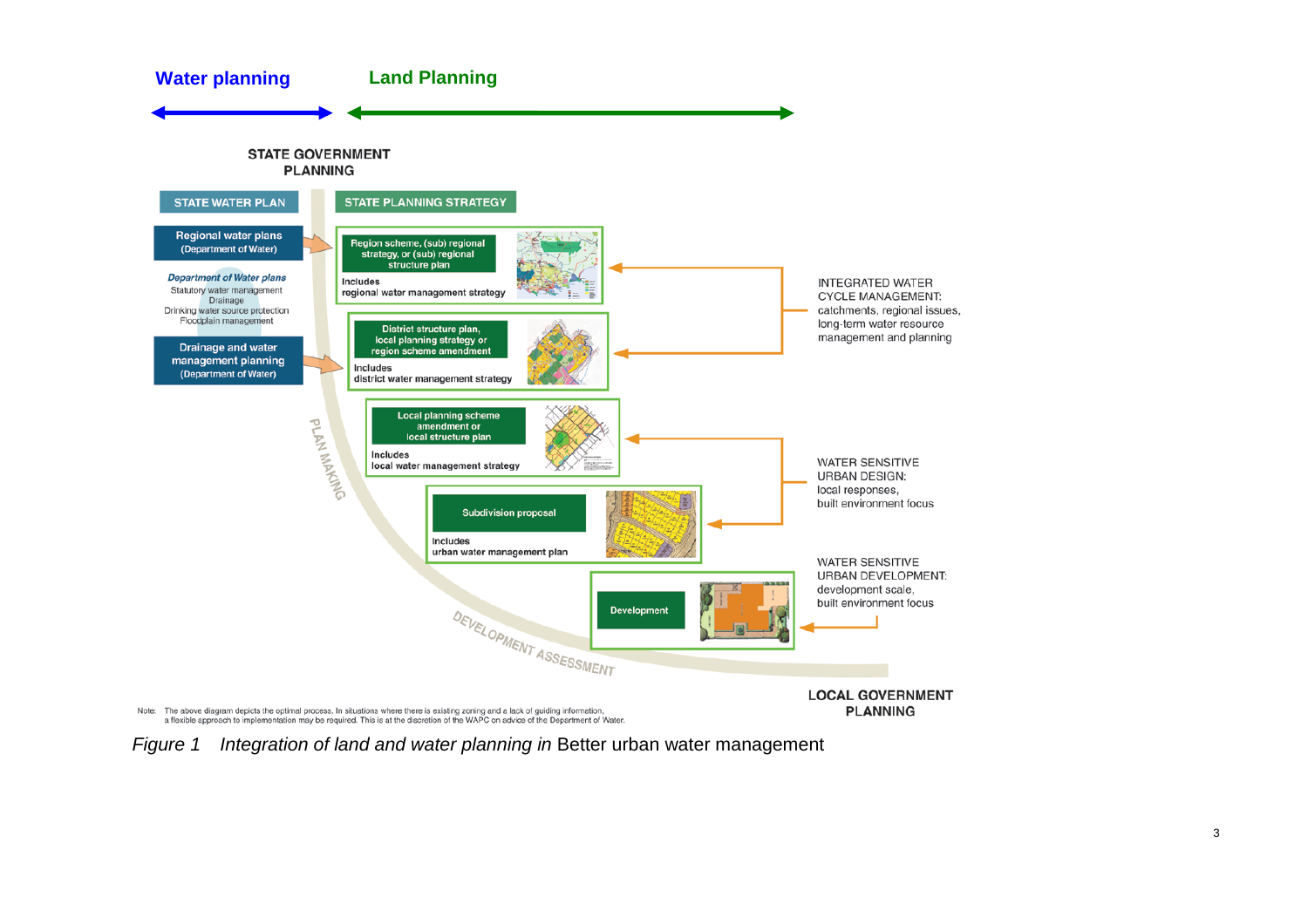

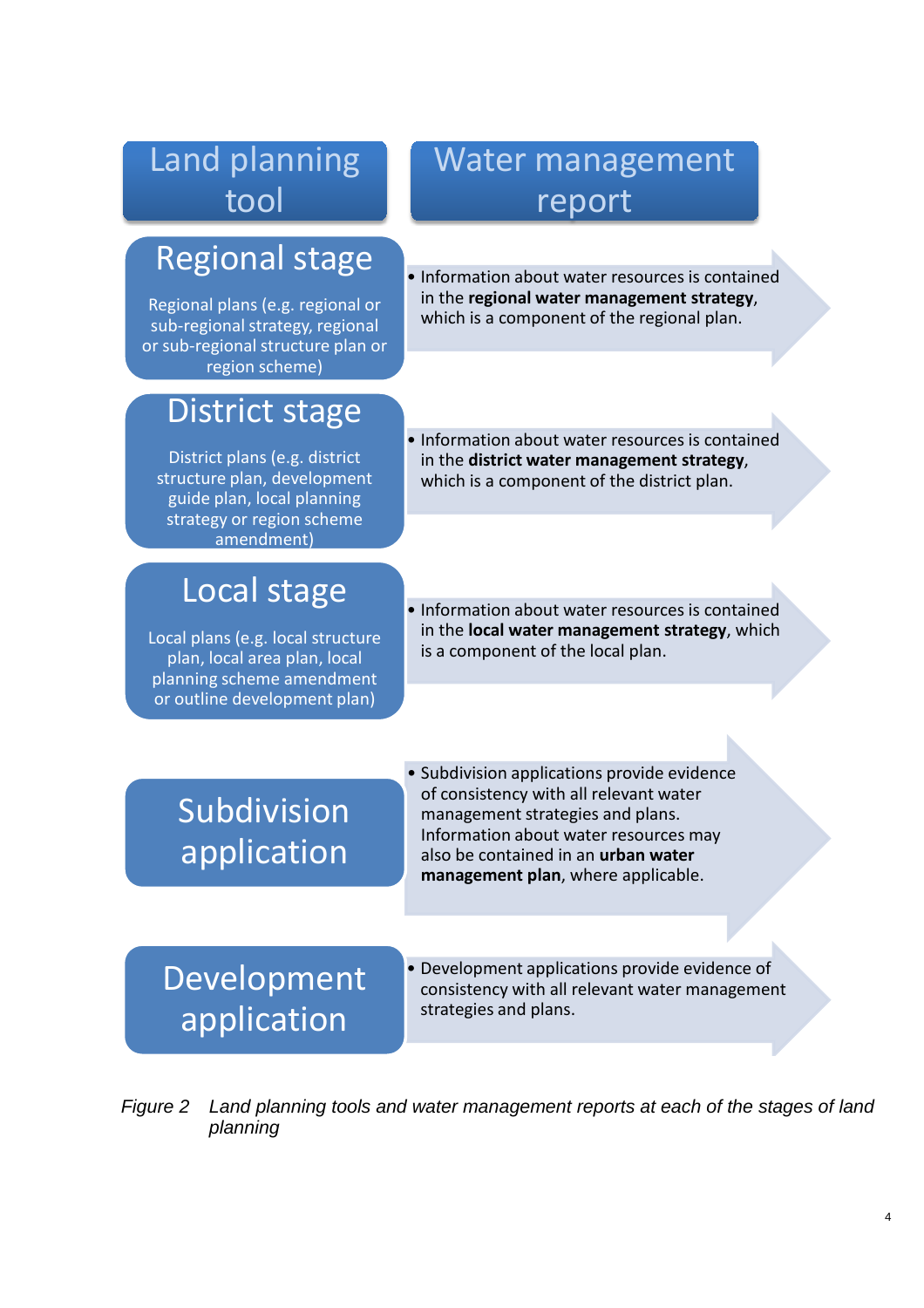### Land planning tool

## Regional stage

Regional plans (e.g. regional or sub-regional strategy, regional or sub-regional structure plan or region scheme)

### District stage

District plans (e.g. district structure plan, development guide plan, local planning strategy or region scheme amendment)

## Local stage

Local plans (e.g. local structure plan, local area plan, local planning scheme amendment or outline development plan)

### Water management report

- Information about water resources is contained in the **regional water management strategy**, which is a component of the regional plan.
- Information about water resources is contained in the **district water management strategy**, which is a component of the district plan.
- Information about water resources is contained in the **local water management strategy**, which is a component of the local plan.

# Subdivision application

• Subdivision applications provide evidence of consistency with all relevant water management strategies and plans. Information about water resources may also be contained in an **urban water management plan**, where applicable.

# Development application

• Development applications provide evidence of consistency with all relevant water management strategies and plans.

*Figure 2 Land planning tools and water management reports at each of the stages of land planning*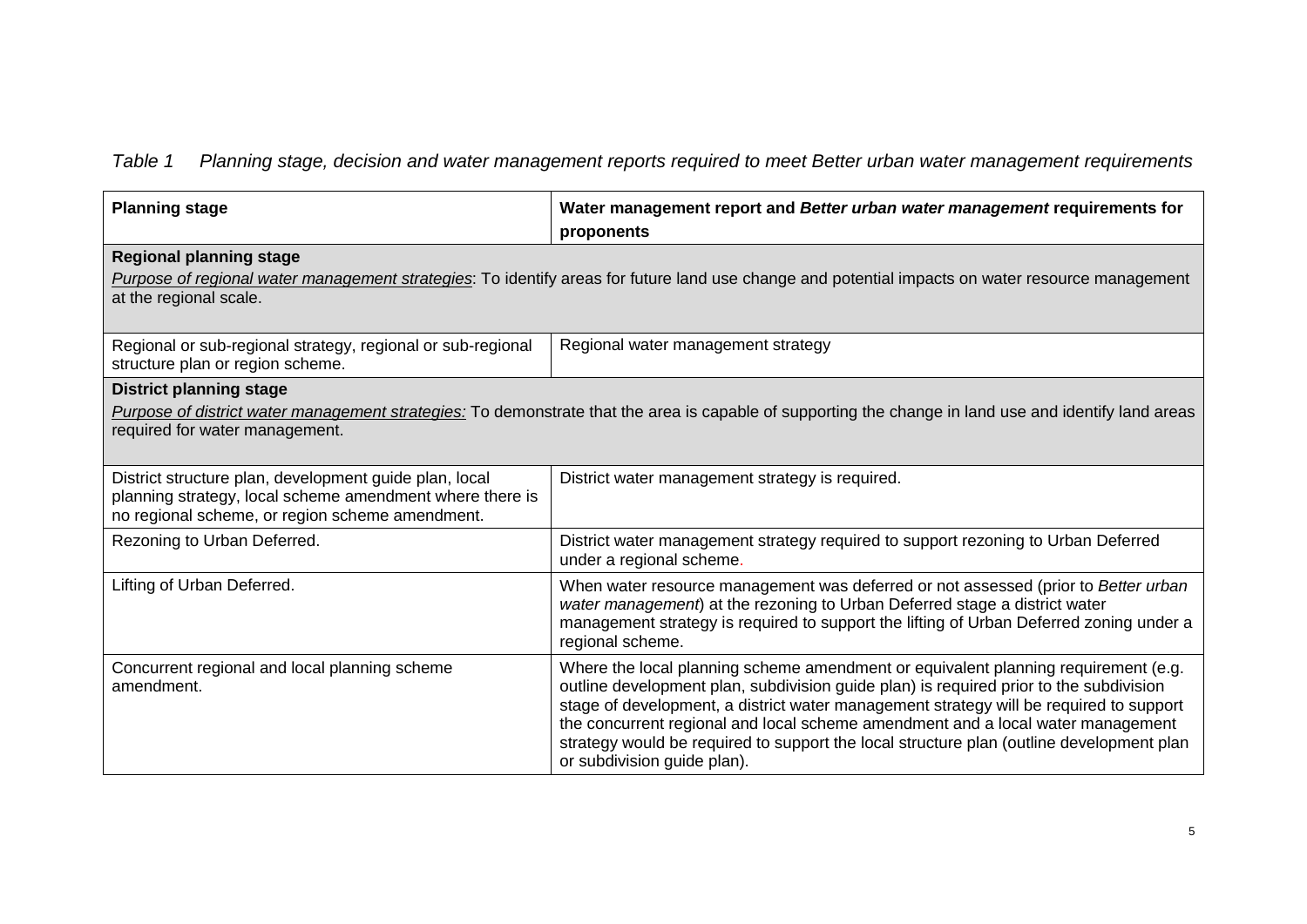*Table 1 Planning stage, decision and water management reports required to meet Better urban water management requirements*

| <b>Planning stage</b>                                                                                                                                                                                                     | Water management report and Better urban water management requirements for<br>proponents                                                                                                                                                                                                                                                                                                                                                                                             |  |
|---------------------------------------------------------------------------------------------------------------------------------------------------------------------------------------------------------------------------|--------------------------------------------------------------------------------------------------------------------------------------------------------------------------------------------------------------------------------------------------------------------------------------------------------------------------------------------------------------------------------------------------------------------------------------------------------------------------------------|--|
| <b>Regional planning stage</b><br>Purpose of regional water management strategies: To identify areas for future land use change and potential impacts on water resource management<br>at the regional scale.              |                                                                                                                                                                                                                                                                                                                                                                                                                                                                                      |  |
| Regional or sub-regional strategy, regional or sub-regional<br>structure plan or region scheme.                                                                                                                           | Regional water management strategy                                                                                                                                                                                                                                                                                                                                                                                                                                                   |  |
| <b>District planning stage</b><br>Purpose of district water management strategies: To demonstrate that the area is capable of supporting the change in land use and identify land areas<br>required for water management. |                                                                                                                                                                                                                                                                                                                                                                                                                                                                                      |  |
| District structure plan, development guide plan, local<br>planning strategy, local scheme amendment where there is<br>no regional scheme, or region scheme amendment.                                                     | District water management strategy is required.                                                                                                                                                                                                                                                                                                                                                                                                                                      |  |
| Rezoning to Urban Deferred.                                                                                                                                                                                               | District water management strategy required to support rezoning to Urban Deferred<br>under a regional scheme.                                                                                                                                                                                                                                                                                                                                                                        |  |
| Lifting of Urban Deferred.                                                                                                                                                                                                | When water resource management was deferred or not assessed (prior to Better urban<br>water management) at the rezoning to Urban Deferred stage a district water<br>management strategy is required to support the lifting of Urban Deferred zoning under a<br>regional scheme.                                                                                                                                                                                                      |  |
| Concurrent regional and local planning scheme<br>amendment.                                                                                                                                                               | Where the local planning scheme amendment or equivalent planning requirement (e.g.<br>outline development plan, subdivision guide plan) is required prior to the subdivision<br>stage of development, a district water management strategy will be required to support<br>the concurrent regional and local scheme amendment and a local water management<br>strategy would be required to support the local structure plan (outline development plan<br>or subdivision guide plan). |  |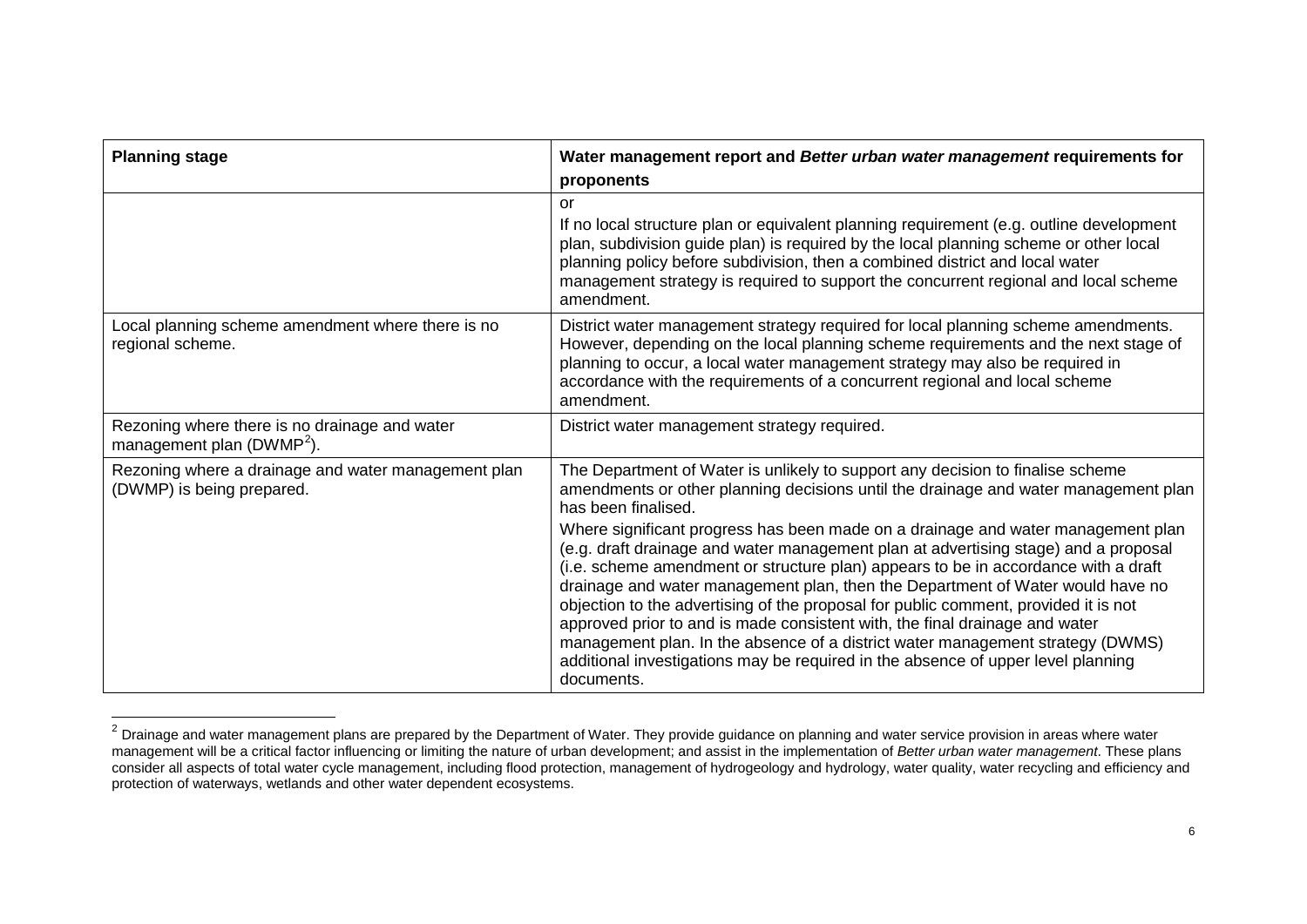<span id="page-5-0"></span>

| <b>Planning stage</b>                                                                  | Water management report and Better urban water management requirements for<br>proponents                                                                                                                                                                                                                                                                                                                                                                                                                                                                                                                                                                                                                                                                                                                                                                                                                  |
|----------------------------------------------------------------------------------------|-----------------------------------------------------------------------------------------------------------------------------------------------------------------------------------------------------------------------------------------------------------------------------------------------------------------------------------------------------------------------------------------------------------------------------------------------------------------------------------------------------------------------------------------------------------------------------------------------------------------------------------------------------------------------------------------------------------------------------------------------------------------------------------------------------------------------------------------------------------------------------------------------------------|
|                                                                                        | or<br>If no local structure plan or equivalent planning requirement (e.g. outline development<br>plan, subdivision guide plan) is required by the local planning scheme or other local<br>planning policy before subdivision, then a combined district and local water<br>management strategy is required to support the concurrent regional and local scheme<br>amendment.                                                                                                                                                                                                                                                                                                                                                                                                                                                                                                                               |
| Local planning scheme amendment where there is no<br>regional scheme.                  | District water management strategy required for local planning scheme amendments.<br>However, depending on the local planning scheme requirements and the next stage of<br>planning to occur, a local water management strategy may also be required in<br>accordance with the requirements of a concurrent regional and local scheme<br>amendment.                                                                                                                                                                                                                                                                                                                                                                                                                                                                                                                                                       |
| Rezoning where there is no drainage and water<br>management plan (DWMP <sup>2</sup> ). | District water management strategy required.                                                                                                                                                                                                                                                                                                                                                                                                                                                                                                                                                                                                                                                                                                                                                                                                                                                              |
| Rezoning where a drainage and water management plan<br>(DWMP) is being prepared.       | The Department of Water is unlikely to support any decision to finalise scheme<br>amendments or other planning decisions until the drainage and water management plan<br>has been finalised.<br>Where significant progress has been made on a drainage and water management plan<br>(e.g. draft drainage and water management plan at advertising stage) and a proposal<br>(i.e. scheme amendment or structure plan) appears to be in accordance with a draft<br>drainage and water management plan, then the Department of Water would have no<br>objection to the advertising of the proposal for public comment, provided it is not<br>approved prior to and is made consistent with, the final drainage and water<br>management plan. In the absence of a district water management strategy (DWMS)<br>additional investigations may be required in the absence of upper level planning<br>documents. |

<sup>2</sup> Drainage and water management plans are prepared by the Department of Water. They provide guidance on planning and water service provision in areas where water<br><sup>2</sup> Drainage and water management plans are prepared by the management will be a critical factor influencing or limiting the nature of urban development; and assist in the implementation of *Better urban water management*. These plans consider all aspects of total water cycle management, including flood protection, management of hydrogeology and hydrology, water quality, water recycling and efficiency and protection of waterways, wetlands and other water dependent ecosystems.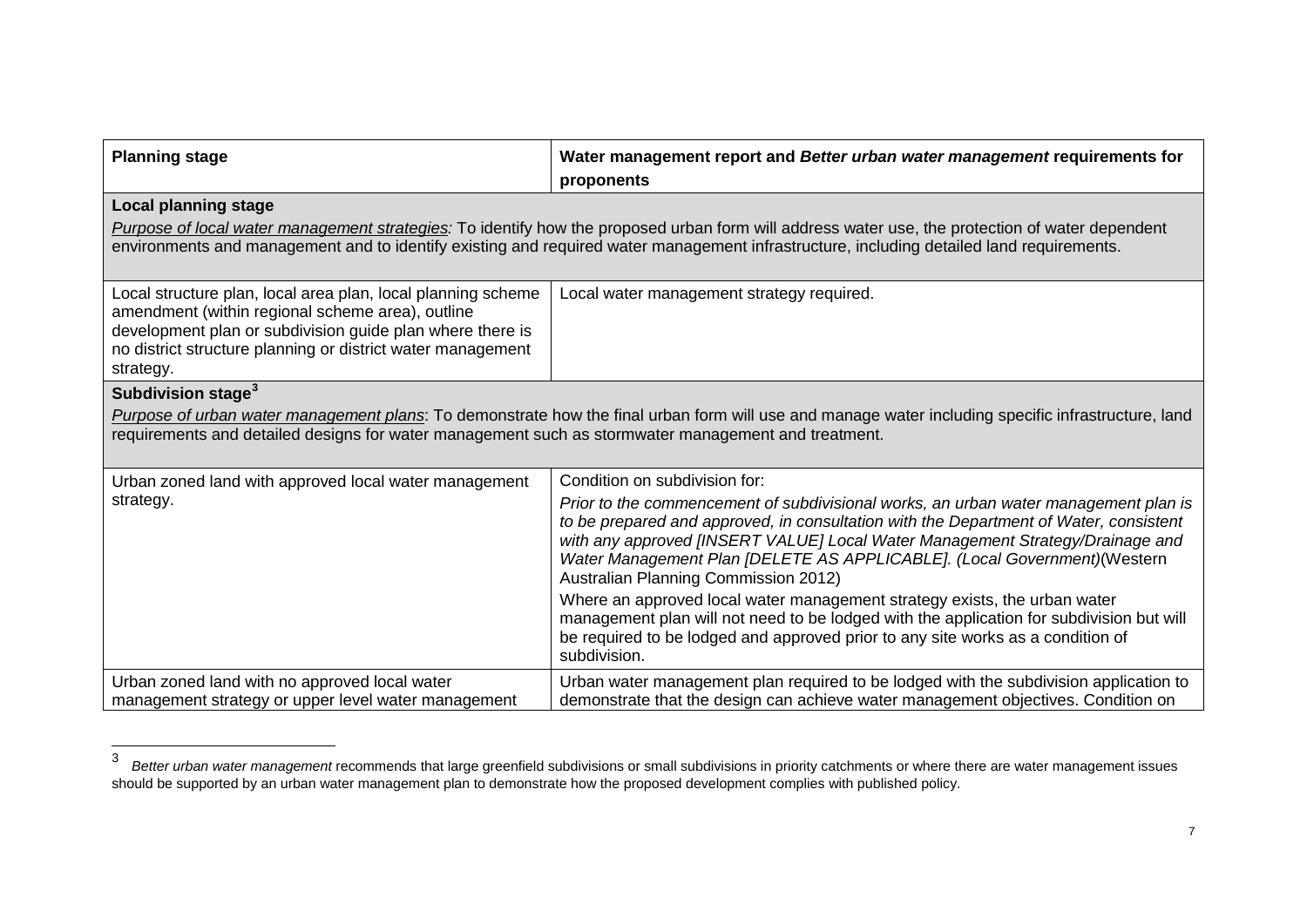<span id="page-6-0"></span>

| <b>Planning stage</b>                                                                                                                                                                                                                                                                                                      | Water management report and Better urban water management requirements for<br>proponents                                                                                                                                                                                                                                                                                           |  |
|----------------------------------------------------------------------------------------------------------------------------------------------------------------------------------------------------------------------------------------------------------------------------------------------------------------------------|------------------------------------------------------------------------------------------------------------------------------------------------------------------------------------------------------------------------------------------------------------------------------------------------------------------------------------------------------------------------------------|--|
| <b>Local planning stage</b><br>Purpose of local water management strategies: To identify how the proposed urban form will address water use, the protection of water dependent<br>environments and management and to identify existing and required water management infrastructure, including detailed land requirements. |                                                                                                                                                                                                                                                                                                                                                                                    |  |
| Local structure plan, local area plan, local planning scheme<br>amendment (within regional scheme area), outline<br>development plan or subdivision guide plan where there is<br>no district structure planning or district water management<br>strategy.                                                                  | Local water management strategy required.                                                                                                                                                                                                                                                                                                                                          |  |
| Subdivision stage <sup>3</sup><br>Purpose of urban water management plans: To demonstrate how the final urban form will use and manage water including specific infrastructure, land<br>requirements and detailed designs for water management such as stormwater management and treatment.                                |                                                                                                                                                                                                                                                                                                                                                                                    |  |
| Urban zoned land with approved local water management                                                                                                                                                                                                                                                                      | Condition on subdivision for:                                                                                                                                                                                                                                                                                                                                                      |  |
| strategy.                                                                                                                                                                                                                                                                                                                  | Prior to the commencement of subdivisional works, an urban water management plan is<br>to be prepared and approved, in consultation with the Department of Water, consistent<br>with any approved [INSERT VALUE] Local Water Management Strategy/Drainage and<br>Water Management Plan [DELETE AS APPLICABLE]. (Local Government) (Western<br>Australian Planning Commission 2012) |  |
|                                                                                                                                                                                                                                                                                                                            | Where an approved local water management strategy exists, the urban water<br>management plan will not need to be lodged with the application for subdivision but will<br>be required to be lodged and approved prior to any site works as a condition of<br>subdivision.                                                                                                           |  |
| Urban zoned land with no approved local water<br>management strategy or upper level water management                                                                                                                                                                                                                       | Urban water management plan required to be lodged with the subdivision application to<br>demonstrate that the design can achieve water management objectives. Condition on                                                                                                                                                                                                         |  |

 <sup>3</sup> *Better urban water management* recommends that large greenfield subdivisions or small subdivisions in priority catchments or where there are water management issues should be supported by an urban water management plan to demonstrate how the proposed development complies with published policy.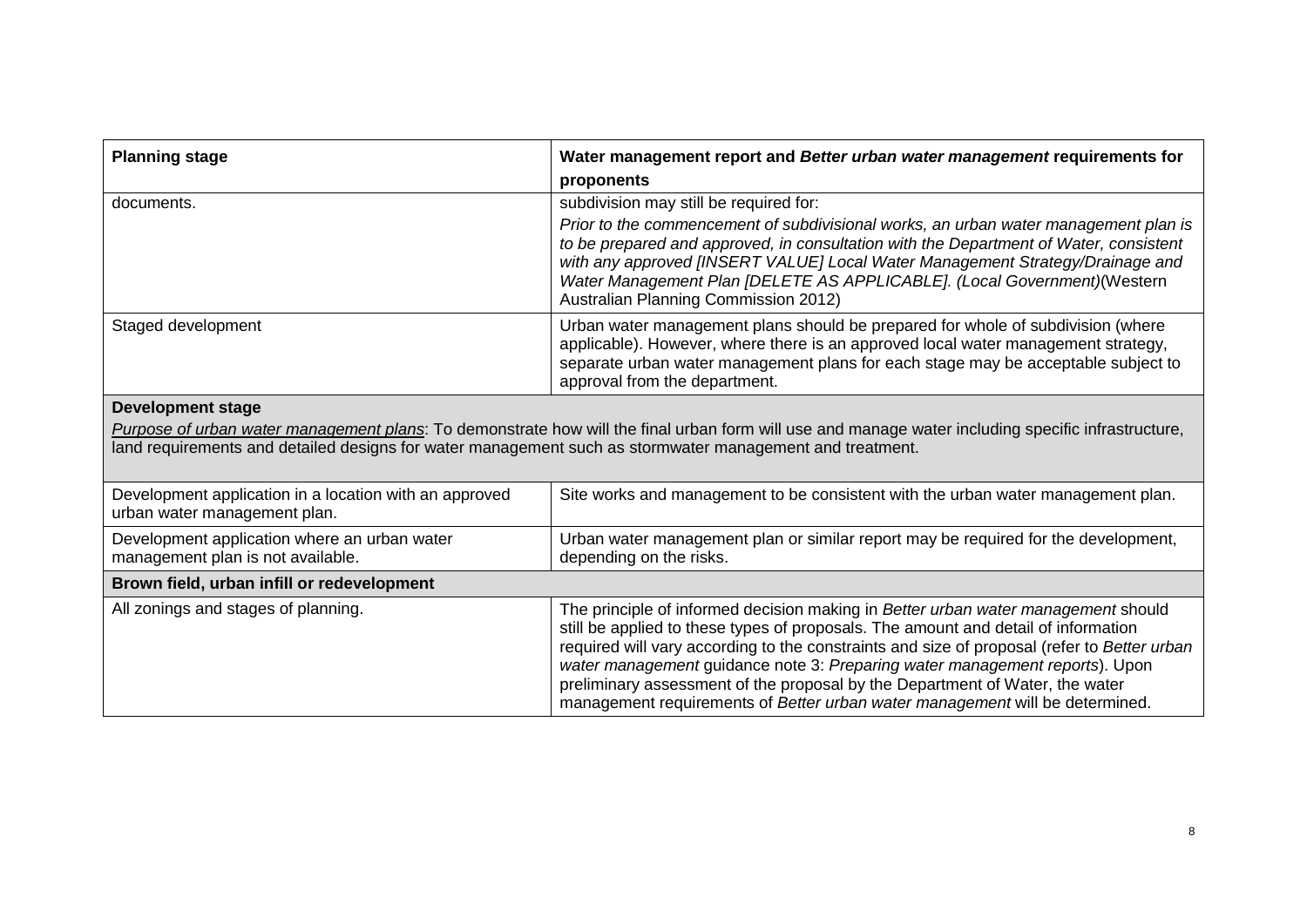| <b>Planning stage</b>                                                                                                                                                                                                                                          | Water management report and Better urban water management requirements for                                                                                                                                                                                                                                                                                                                                                                                                                                            |  |
|----------------------------------------------------------------------------------------------------------------------------------------------------------------------------------------------------------------------------------------------------------------|-----------------------------------------------------------------------------------------------------------------------------------------------------------------------------------------------------------------------------------------------------------------------------------------------------------------------------------------------------------------------------------------------------------------------------------------------------------------------------------------------------------------------|--|
|                                                                                                                                                                                                                                                                | proponents                                                                                                                                                                                                                                                                                                                                                                                                                                                                                                            |  |
| documents.                                                                                                                                                                                                                                                     | subdivision may still be required for:                                                                                                                                                                                                                                                                                                                                                                                                                                                                                |  |
|                                                                                                                                                                                                                                                                | Prior to the commencement of subdivisional works, an urban water management plan is<br>to be prepared and approved, in consultation with the Department of Water, consistent<br>with any approved [INSERT VALUE] Local Water Management Strategy/Drainage and<br>Water Management Plan [DELETE AS APPLICABLE]. (Local Government)(Western<br>Australian Planning Commission 2012)                                                                                                                                     |  |
| Staged development                                                                                                                                                                                                                                             | Urban water management plans should be prepared for whole of subdivision (where<br>applicable). However, where there is an approved local water management strategy,<br>separate urban water management plans for each stage may be acceptable subject to<br>approval from the department.                                                                                                                                                                                                                            |  |
| <b>Development stage</b>                                                                                                                                                                                                                                       |                                                                                                                                                                                                                                                                                                                                                                                                                                                                                                                       |  |
| Purpose of urban water management plans: To demonstrate how will the final urban form will use and manage water including specific infrastructure,<br>land requirements and detailed designs for water management such as stormwater management and treatment. |                                                                                                                                                                                                                                                                                                                                                                                                                                                                                                                       |  |
| Development application in a location with an approved<br>urban water management plan.                                                                                                                                                                         | Site works and management to be consistent with the urban water management plan.                                                                                                                                                                                                                                                                                                                                                                                                                                      |  |
| Development application where an urban water<br>management plan is not available.                                                                                                                                                                              | Urban water management plan or similar report may be required for the development,<br>depending on the risks.                                                                                                                                                                                                                                                                                                                                                                                                         |  |
| Brown field, urban infill or redevelopment                                                                                                                                                                                                                     |                                                                                                                                                                                                                                                                                                                                                                                                                                                                                                                       |  |
| All zonings and stages of planning.                                                                                                                                                                                                                            | The principle of informed decision making in Better urban water management should<br>still be applied to these types of proposals. The amount and detail of information<br>required will vary according to the constraints and size of proposal (refer to Better urban<br>water management guidance note 3: Preparing water management reports). Upon<br>preliminary assessment of the proposal by the Department of Water, the water<br>management requirements of Better urban water management will be determined. |  |